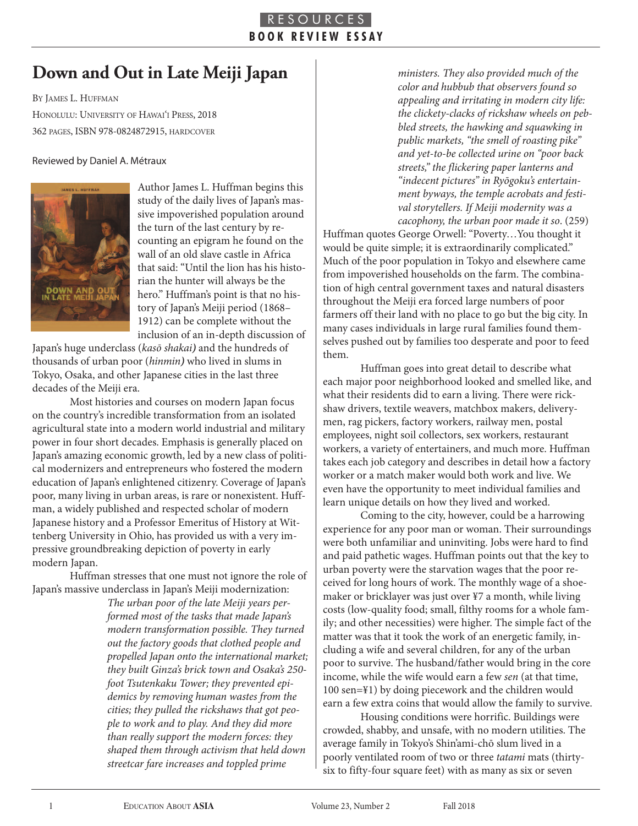## R E S O U R C E **B O O K R E V I E W E S S A Y**

## **Down and Out in Late Meiji Japan**

BY JAMES L. HUFFMAN HONOLULU: UNIVERSITY OF HAWAI'I PRESS, 2018 362 PaGeS, ISBn 978-0824872915, HardCOver

## Reviewed by Daniel A. Métraux



Author James L. Huffman begins this study of the daily lives of Japan's massive impoverished population around the turn of the last century by recounting an epigram he found on the wall of an old slave castle in Africa that said: "Until the lion has his historian the hunter will always be the hero." Huffman's point is that no history of Japan's Meiji period (1868– 1912) can be complete without the inclusion of an in-depth discussion of

Japan's huge underclass (kasō shakai*)* and the hundreds of thousands of urban poor (hinmin*)* who lived in slums in Tokyo, Osaka, and other Japanese cities in the last three decades of the Meiji era.

Most histories and courses on modern Japan focus on the country's incredible transformation from an isolated agricultural state into a modern world industrial and military power in four short decades. Emphasis is generally placed on Japan's amazing economic growth, led by a new class of political modernizers and entrepreneurs who fostered the modern education of Japan's enlightened citizenry. Coverage of Japan's poor, many living in urban areas, is rare or nonexistent. Huffman, a widely published and respected scholar of modern Japanese history and a Professor Emeritus of History at Wittenberg University in Ohio, has provided us with a very impressive groundbreaking depiction of poverty in early modern Japan.

Huffman stresses that one must not ignore the role of Japan's massive underclass in Japan's Meiji modernization:

> The urban poor of the late Meiji years performed most of the tasks that made Japan's modern transformation possible. They turned out the factory goods that clothed people and propelled Japan onto the international market; they built Ginza's brick town and Osaka's 250 foot Tsutenkaku Tower; they prevented epidemics by removing human wastes from the cities; they pulled the rickshaws that got people to work and to play. And they did more than really support the modern forces: they shaped them through activism that held down streetcar fare increases and toppled prime

ministers. They also provided much of the color and hubbub that observers found so appealing and irritating in modern city life: the clickety-clacks of rickshaw wheels on pebbled streets, the hawking and squawking in public markets, "the smell of roasting pike" and yet-to-be collected urine on "poor back streets," the flickering paper lanterns and "indecent pictures" in Ryōgoku's entertainment byways, the temple acrobats and festival storytellers. If Meiji modernity was a cacophony, the urban poor made it so. (259)

Huffman quotes George Orwell: "Poverty…You thought it would be quite simple; it is extraordinarily complicated." Much of the poor population in Tokyo and elsewhere came from impoverished households on the farm. The combination of high central government taxes and natural disasters throughout the Meiji era forced large numbers of poor farmers off their land with no place to go but the big city. In many cases individuals in large rural families found themselves pushed out by families too desperate and poor to feed them.

Huffman goes into great detail to describe what each major poor neighborhood looked and smelled like, and what their residents did to earn a living. There were rickshaw drivers, textile weavers, matchbox makers, deliverymen, rag pickers, factory workers, railway men, postal employees, night soil collectors, sex workers, restaurant workers, a variety of entertainers, and much more. Huffman takes each job category and describes in detail how a factory worker or a match maker would both work and live. We even have the opportunity to meet individual families and learn unique details on how they lived and worked.

Coming to the city, however, could be a harrowing experience for any poor man or woman. Their surroundings were both unfamiliar and uninviting. Jobs were hard to find and paid pathetic wages. Huffman points out that the key to urban poverty were the starvation wages that the poor received for long hours of work. The monthly wage of a shoemaker or bricklayer was just over ¥7 a month, while living costs (low-quality food; small, filthy rooms for a whole family; and other necessities) were higher. The simple fact of the matter was that it took the work of an energetic family, including a wife and several children, for any of the urban poor to survive. The husband/father would bring in the core income, while the wife would earn a few sen (at that time, 100 sen=¥1) by doing piecework and the children would earn a few extra coins that would allow the family to survive.

Housing conditions were horrific. Buildings were crowded, shabby, and unsafe, with no modern utilities. The average family in Tokyo's Shin'ami-chō slum lived in a poorly ventilated room of two or three tatami mats (thirtysix to fifty-four square feet) with as many as six or seven